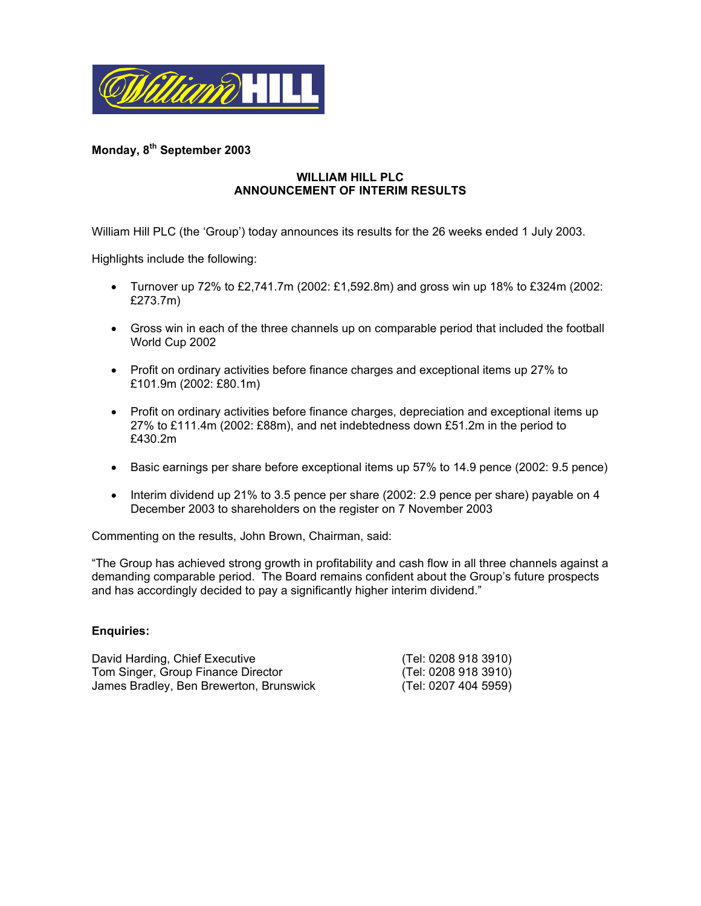

# **Monday, 8th September 2003**

# **WILLIAM HILL PLC ANNOUNCEMENT OF INTERIM RESULTS**

William Hill PLC (the 'Group') today announces its results for the 26 weeks ended 1 July 2003.

Highlights include the following:

- Turnover up 72% to £2,741.7m (2002: £1,592.8m) and gross win up 18% to £324m (2002: £273.7m)
- Gross win in each of the three channels up on comparable period that included the football World Cup 2002
- Profit on ordinary activities before finance charges and exceptional items up 27% to £101.9m (2002: £80.1m)
- Profit on ordinary activities before finance charges, depreciation and exceptional items up 27% to £111.4m (2002: £88m), and net indebtedness down £51.2m in the period to £430.2m
- Basic earnings per share before exceptional items up 57% to 14.9 pence (2002: 9.5 pence)
- Interim dividend up 21% to 3.5 pence per share (2002: 2.9 pence per share) payable on 4 December 2003 to shareholders on the register on 7 November 2003

Commenting on the results, John Brown, Chairman, said:

"The Group has achieved strong growth in profitability and cash flow in all three channels against a demanding comparable period. The Board remains confident about the Group's future prospects and has accordingly decided to pay a significantly higher interim dividend."

#### **Enquiries:**

| David Harding, Chief Executive          | (Tel: 0208 918 3910) |
|-----------------------------------------|----------------------|
| Tom Singer, Group Finance Director      | (Tel: 0208 918 3910) |
| James Bradley, Ben Brewerton, Brunswick | (Tel: 0207 404 5959) |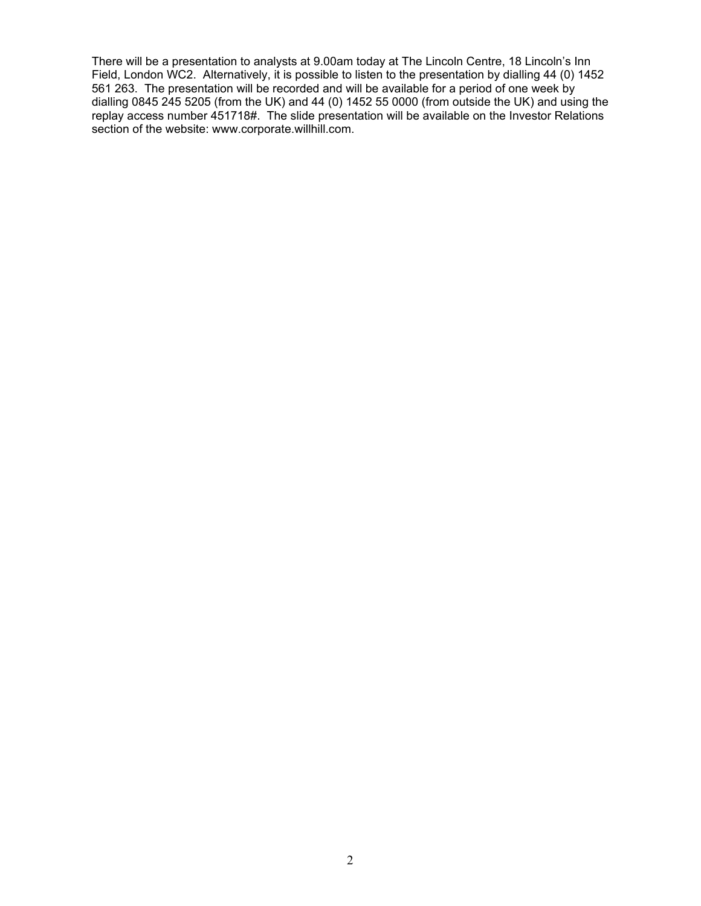There will be a presentation to analysts at 9.00am today at The Lincoln Centre, 18 Lincoln's Inn Field, London WC2. Alternatively, it is possible to listen to the presentation by dialling 44 (0) 1452 561 263. The presentation will be recorded and will be available for a period of one week by dialling 0845 245 5205 (from the UK) and 44 (0) 1452 55 0000 (from outside the UK) and using the replay access number 451718#. The slide presentation will be available on the Investor Relations section of the website: www.corporate.willhill.com.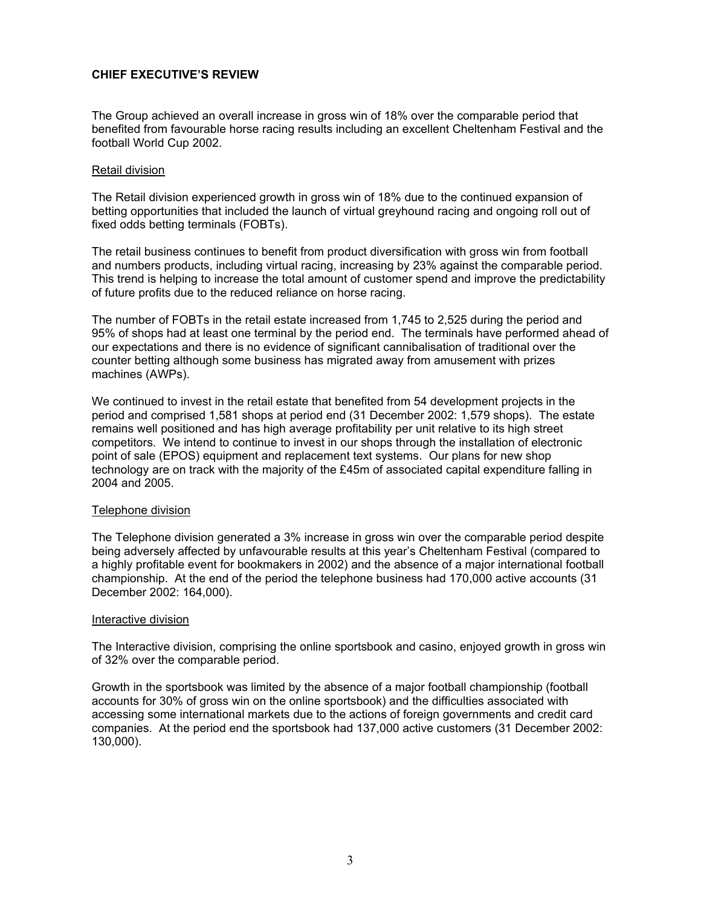# **CHIEF EXECUTIVE'S REVIEW**

The Group achieved an overall increase in gross win of 18% over the comparable period that benefited from favourable horse racing results including an excellent Cheltenham Festival and the football World Cup 2002.

#### Retail division

The Retail division experienced growth in gross win of 18% due to the continued expansion of betting opportunities that included the launch of virtual greyhound racing and ongoing roll out of fixed odds betting terminals (FOBTs).

The retail business continues to benefit from product diversification with gross win from football and numbers products, including virtual racing, increasing by 23% against the comparable period. This trend is helping to increase the total amount of customer spend and improve the predictability of future profits due to the reduced reliance on horse racing.

The number of FOBTs in the retail estate increased from 1,745 to 2,525 during the period and 95% of shops had at least one terminal by the period end. The terminals have performed ahead of our expectations and there is no evidence of significant cannibalisation of traditional over the counter betting although some business has migrated away from amusement with prizes machines (AWPs).

We continued to invest in the retail estate that benefited from 54 development projects in the period and comprised 1,581 shops at period end (31 December 2002: 1,579 shops). The estate remains well positioned and has high average profitability per unit relative to its high street competitors. We intend to continue to invest in our shops through the installation of electronic point of sale (EPOS) equipment and replacement text systems. Our plans for new shop technology are on track with the majority of the £45m of associated capital expenditure falling in 2004 and 2005.

#### Telephone division

The Telephone division generated a 3% increase in gross win over the comparable period despite being adversely affected by unfavourable results at this year's Cheltenham Festival (compared to a highly profitable event for bookmakers in 2002) and the absence of a major international football championship. At the end of the period the telephone business had 170,000 active accounts (31 December 2002: 164,000).

#### Interactive division

The Interactive division, comprising the online sportsbook and casino, enjoyed growth in gross win of 32% over the comparable period.

Growth in the sportsbook was limited by the absence of a major football championship (football accounts for 30% of gross win on the online sportsbook) and the difficulties associated with accessing some international markets due to the actions of foreign governments and credit card companies. At the period end the sportsbook had 137,000 active customers (31 December 2002: 130,000).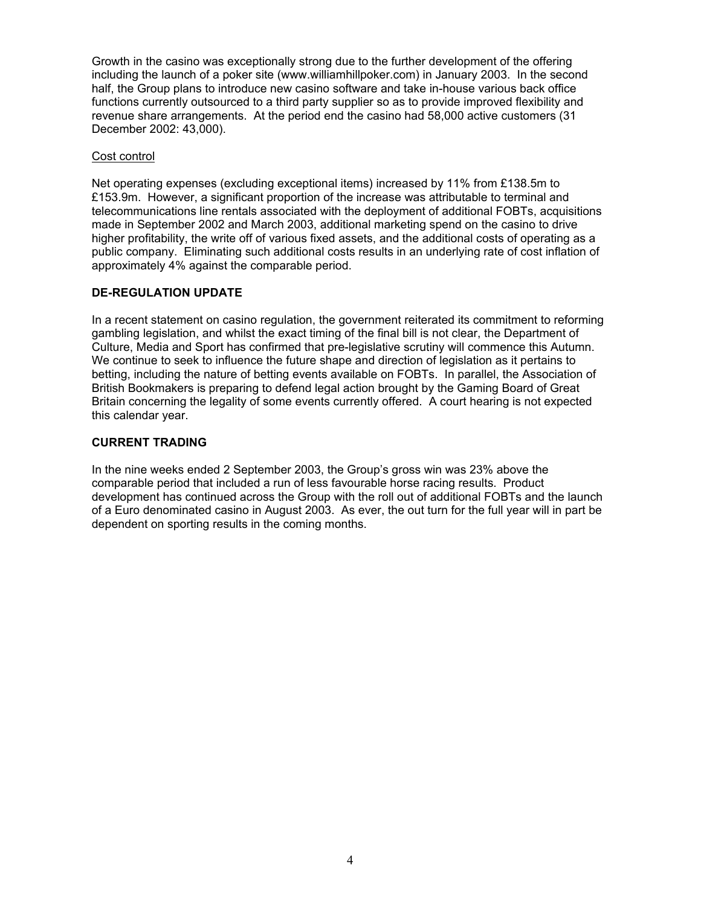Growth in the casino was exceptionally strong due to the further development of the offering including the launch of a poker site (www.williamhillpoker.com) in January 2003. In the second half, the Group plans to introduce new casino software and take in-house various back office functions currently outsourced to a third party supplier so as to provide improved flexibility and revenue share arrangements. At the period end the casino had 58,000 active customers (31 December 2002: 43,000).

# Cost control

Net operating expenses (excluding exceptional items) increased by 11% from £138.5m to £153.9m. However, a significant proportion of the increase was attributable to terminal and telecommunications line rentals associated with the deployment of additional FOBTs, acquisitions made in September 2002 and March 2003, additional marketing spend on the casino to drive higher profitability, the write off of various fixed assets, and the additional costs of operating as a public company. Eliminating such additional costs results in an underlying rate of cost inflation of approximately 4% against the comparable period.

# **DE-REGULATION UPDATE**

In a recent statement on casino regulation, the government reiterated its commitment to reforming gambling legislation, and whilst the exact timing of the final bill is not clear, the Department of Culture, Media and Sport has confirmed that pre-legislative scrutiny will commence this Autumn. We continue to seek to influence the future shape and direction of legislation as it pertains to betting, including the nature of betting events available on FOBTs. In parallel, the Association of British Bookmakers is preparing to defend legal action brought by the Gaming Board of Great Britain concerning the legality of some events currently offered. A court hearing is not expected this calendar year.

# **CURRENT TRADING**

In the nine weeks ended 2 September 2003, the Group's gross win was 23% above the comparable period that included a run of less favourable horse racing results. Product development has continued across the Group with the roll out of additional FOBTs and the launch of a Euro denominated casino in August 2003. As ever, the out turn for the full year will in part be dependent on sporting results in the coming months.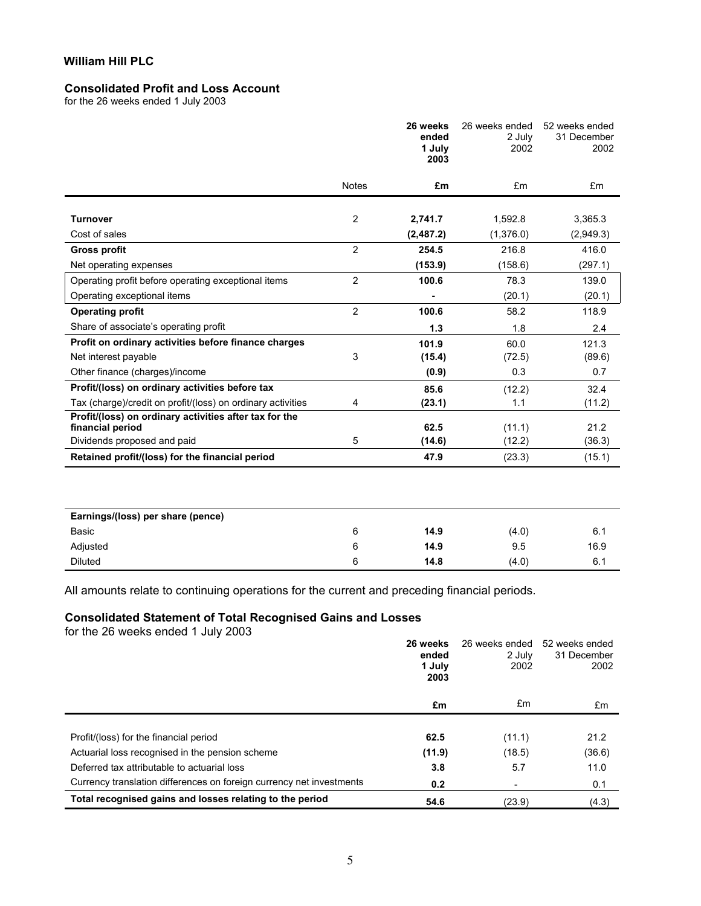# **Consolidated Profit and Loss Account**

for the 26 weeks ended 1 July 2003

|                                                                            |                | 26 weeks<br>ended<br>1 July<br>2003 | 26 weeks ended<br>2 July<br>2002 | 52 weeks ended<br>31 December<br>2002 |
|----------------------------------------------------------------------------|----------------|-------------------------------------|----------------------------------|---------------------------------------|
|                                                                            | <b>Notes</b>   | £m                                  | £m                               | £m                                    |
| <b>Turnover</b>                                                            | 2              | 2,741.7                             | 1,592.8                          | 3,365.3                               |
| Cost of sales                                                              |                | (2, 487.2)                          | (1,376.0)                        | (2,949.3)                             |
| <b>Gross profit</b>                                                        | $\overline{2}$ | 254.5                               | 216.8                            | 416.0                                 |
| Net operating expenses                                                     |                | (153.9)                             | (158.6)                          | (297.1)                               |
| Operating profit before operating exceptional items                        | $\overline{2}$ | 100.6                               | 78.3                             | 139.0                                 |
| Operating exceptional items                                                |                |                                     | (20.1)                           | (20.1)                                |
| <b>Operating profit</b>                                                    | $\overline{2}$ | 100.6                               | 58.2                             | 118.9                                 |
| Share of associate's operating profit                                      |                | 1.3                                 | 1.8                              | 2.4                                   |
| Profit on ordinary activities before finance charges                       |                | 101.9                               | 60.0                             | 121.3                                 |
| Net interest payable                                                       | 3              | (15.4)                              | (72.5)                           | (89.6)                                |
| Other finance (charges)/income                                             |                | (0.9)                               | 0.3                              | 0.7                                   |
| Profit/(loss) on ordinary activities before tax                            |                | 85.6                                | (12.2)                           | 32.4                                  |
| Tax (charge)/credit on profit/(loss) on ordinary activities                | 4              | (23.1)                              | 1.1                              | (11.2)                                |
| Profit/(loss) on ordinary activities after tax for the<br>financial period |                | 62.5                                | (11.1)                           | 21.2                                  |
| Dividends proposed and paid                                                | 5              | (14.6)                              | (12.2)                           | (36.3)                                |
| Retained profit/(loss) for the financial period                            |                | 47.9                                | (23.3)                           | (15.1)                                |
|                                                                            |                |                                     |                                  |                                       |
| Earnings/(loss) per share (pence)                                          |                |                                     |                                  |                                       |
| Basic                                                                      | 6              | 14.9                                | (4.0)                            | 6.1                                   |
| Adjusted                                                                   | 6              | 14.9                                | 9.5                              | 16.9                                  |

All amounts relate to continuing operations for the current and preceding financial periods.

# **Consolidated Statement of Total Recognised Gains and Losses**

for the 26 weeks ended 1 July 2003

|                                                                      | 26 weeks<br>ended<br>1 July<br>2003 | 26 weeks ended<br>2 July<br>2002 | 52 weeks ended<br>31 December<br>2002 |
|----------------------------------------------------------------------|-------------------------------------|----------------------------------|---------------------------------------|
|                                                                      | £m                                  | £m                               | £m                                    |
|                                                                      |                                     |                                  |                                       |
| Profit/(loss) for the financial period                               | 62.5                                | (11.1)                           | 21.2                                  |
| Actuarial loss recognised in the pension scheme                      | (11.9)                              | (18.5)                           | (36.6)                                |
| Deferred tax attributable to actuarial loss                          | 3.8                                 | 5.7                              | 11.0                                  |
| Currency translation differences on foreign currency net investments | 0.2                                 |                                  | 0.1                                   |
| Total recognised gains and losses relating to the period             | 54.6                                | (23.9)                           | (4.3)                                 |

Diluted 6 **14.8** (4.0) 6.1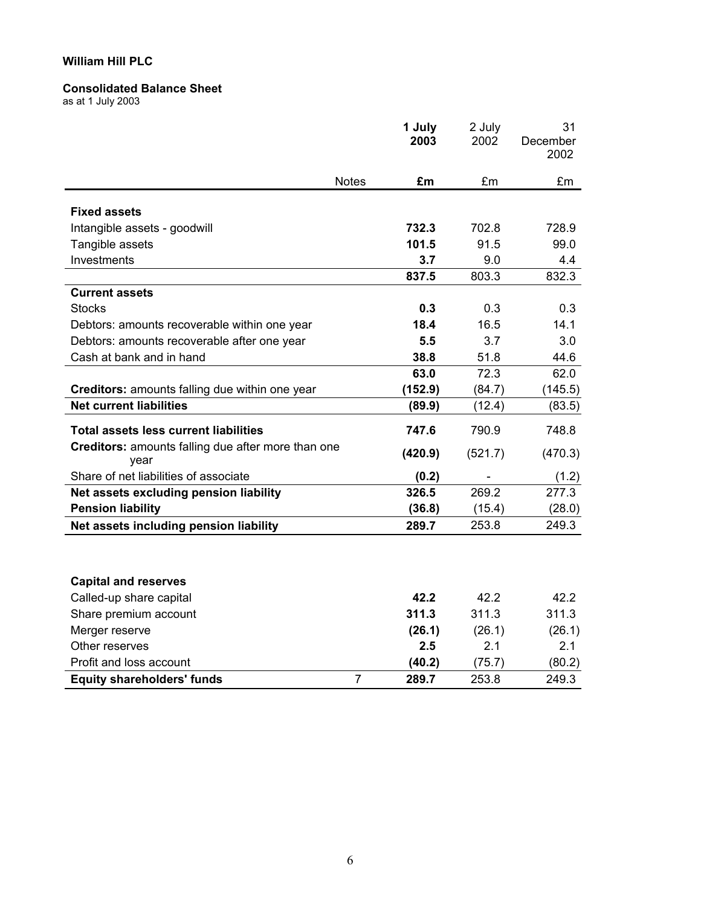#### **Consolidated Balance Sheet**

as at 1 July 2003

|                                                            | 1 July<br>2003          | 2 July<br>2002 | 31<br>December<br>2002 |
|------------------------------------------------------------|-------------------------|----------------|------------------------|
| <b>Notes</b>                                               | £m                      | £m             | £m                     |
|                                                            |                         |                |                        |
| <b>Fixed assets</b>                                        | 732.3                   | 702.8          | 728.9                  |
| Intangible assets - goodwill                               | 101.5                   | 91.5           | 99.0                   |
| Tangible assets<br>Investments                             | 3.7                     | 9.0            | 4.4                    |
|                                                            | 837.5                   | 803.3          | 832.3                  |
| <b>Current assets</b>                                      |                         |                |                        |
| <b>Stocks</b>                                              | 0.3                     | 0.3            | 0.3                    |
| Debtors: amounts recoverable within one year               | 18.4                    | 16.5           | 14.1                   |
| Debtors: amounts recoverable after one year                | 5.5                     | 3.7            | 3.0                    |
| Cash at bank and in hand                                   | 38.8                    | 51.8           | 44.6                   |
|                                                            | 63.0                    | 72.3           | 62.0                   |
| Creditors: amounts falling due within one year             | (152.9)                 | (84.7)         | (145.5)                |
| <b>Net current liabilities</b>                             | (89.9)                  | (12.4)         | (83.5)                 |
| <b>Total assets less current liabilities</b>               | 747.6                   | 790.9          | 748.8                  |
| Creditors: amounts falling due after more than one<br>year | (420.9)                 | (521.7)        | (470.3)                |
| Share of net liabilities of associate                      | (0.2)                   |                | (1.2)                  |
| Net assets excluding pension liability                     | 326.5                   | 269.2          | 277.3                  |
| <b>Pension liability</b>                                   | (36.8)                  | (15.4)         | (28.0)                 |
| Net assets including pension liability                     | 289.7                   | 253.8          | 249.3                  |
|                                                            |                         |                |                        |
| <b>Capital and reserves</b>                                |                         |                |                        |
| Called-up share capital                                    | 42.2                    | 42.2           | 42.2                   |
| Share premium account                                      | 311.3                   | 311.3          | 311.3                  |
| Merger reserve                                             | (26.1)                  | (26.1)         | (26.1)                 |
| Other reserves                                             | 2.5                     | 2.1            | 2.1                    |
| Profit and loss account                                    | (40.2)                  | (75.7)         | (80.2)                 |
| <b>Equity shareholders' funds</b>                          | $\overline{7}$<br>289.7 | 253.8          | 249.3                  |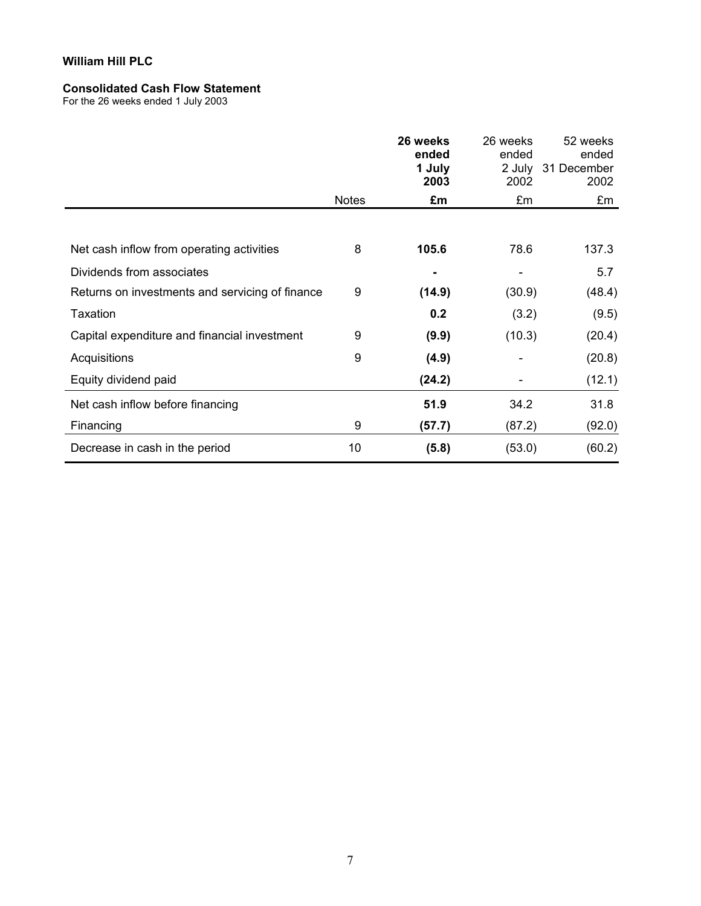#### **Consolidated Cash Flow Statement**

For the 26 weeks ended 1 July 2003

|                                                 |              | 26 weeks<br>ended<br>1 July<br>2003 | 26 weeks<br>ended<br>2002 | 52 weeks<br>ended<br>2 July 31 December<br>2002 |
|-------------------------------------------------|--------------|-------------------------------------|---------------------------|-------------------------------------------------|
|                                                 | <b>Notes</b> | £m                                  | £m                        | £m                                              |
|                                                 |              |                                     |                           |                                                 |
| Net cash inflow from operating activities       | 8            | 105.6                               | 78.6                      | 137.3                                           |
| Dividends from associates                       |              |                                     |                           | 5.7                                             |
| Returns on investments and servicing of finance | 9            | (14.9)                              | (30.9)                    | (48.4)                                          |
| Taxation                                        |              | 0.2                                 | (3.2)                     | (9.5)                                           |
| Capital expenditure and financial investment    | 9            | (9.9)                               | (10.3)                    | (20.4)                                          |
| Acquisitions                                    | 9            | (4.9)                               |                           | (20.8)                                          |
| Equity dividend paid                            |              | (24.2)                              |                           | (12.1)                                          |
| Net cash inflow before financing                |              | 51.9                                | 34.2                      | 31.8                                            |
| Financing                                       | 9            | (57.7)                              | (87.2)                    | (92.0)                                          |
| Decrease in cash in the period                  | 10           | (5.8)                               | (53.0)                    | (60.2)                                          |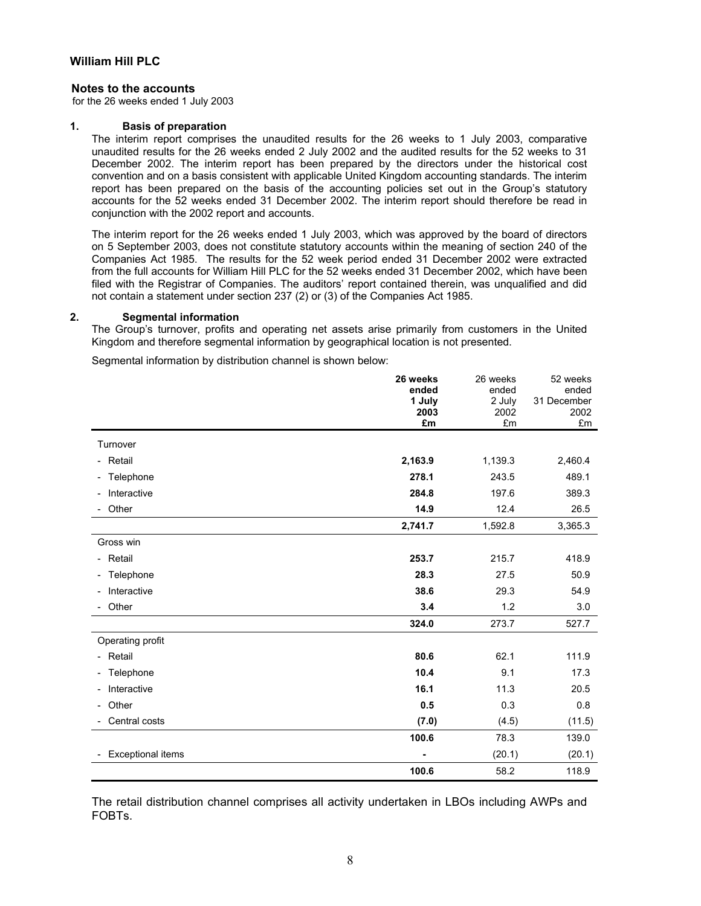#### **Notes to the accounts**

for the 26 weeks ended 1 July 2003

#### **1. Basis of preparation**

The interim report comprises the unaudited results for the 26 weeks to 1 July 2003, comparative unaudited results for the 26 weeks ended 2 July 2002 and the audited results for the 52 weeks to 31 December 2002. The interim report has been prepared by the directors under the historical cost convention and on a basis consistent with applicable United Kingdom accounting standards. The interim report has been prepared on the basis of the accounting policies set out in the Group's statutory accounts for the 52 weeks ended 31 December 2002. The interim report should therefore be read in conjunction with the 2002 report and accounts.

The interim report for the 26 weeks ended 1 July 2003, which was approved by the board of directors on 5 September 2003, does not constitute statutory accounts within the meaning of section 240 of the Companies Act 1985. The results for the 52 week period ended 31 December 2002 were extracted from the full accounts for William Hill PLC for the 52 weeks ended 31 December 2002, which have been filed with the Registrar of Companies. The auditors' report contained therein, was unqualified and did not contain a statement under section 237 (2) or (3) of the Companies Act 1985.

#### **2. Segmental information**

The Group's turnover, profits and operating net assets arise primarily from customers in the United Kingdom and therefore segmental information by geographical location is not presented.

Segmental information by distribution channel is shown below:

|                                   | 26 weeks<br>ended | 26 weeks<br>ended | 52 weeks<br>ended |
|-----------------------------------|-------------------|-------------------|-------------------|
|                                   | 1 July            | 2 July            | 31 December       |
|                                   | 2003<br>£m        | 2002<br>£m        | 2002<br>£m        |
|                                   |                   |                   |                   |
| Turnover                          |                   |                   |                   |
| - Retail                          | 2,163.9           | 1,139.3           | 2,460.4           |
| - Telephone                       | 278.1             | 243.5             | 489.1             |
| Interactive                       | 284.8             | 197.6             | 389.3             |
| Other                             | 14.9              | 12.4              | 26.5              |
|                                   | 2,741.7           | 1,592.8           | 3,365.3           |
| Gross win                         |                   |                   |                   |
| - Retail                          | 253.7             | 215.7             | 418.9             |
| - Telephone                       | 28.3              | 27.5              | 50.9              |
| Interactive                       | 38.6              | 29.3              | 54.9              |
| Other                             | 3.4               | 1.2               | 3.0               |
|                                   | 324.0             | 273.7             | 527.7             |
| Operating profit                  |                   |                   |                   |
| - Retail                          | 80.6              | 62.1              | 111.9             |
| - Telephone                       | 10.4              | 9.1               | 17.3              |
| Interactive                       | 16.1              | 11.3              | 20.5              |
| Other<br>$\overline{\phantom{0}}$ | 0.5               | 0.3               | 0.8               |
| Central costs                     | (7.0)             | (4.5)             | (11.5)            |
|                                   | 100.6             | 78.3              | 139.0             |
| <b>Exceptional items</b>          |                   | (20.1)            | (20.1)            |
|                                   | 100.6             | 58.2              | 118.9             |

The retail distribution channel comprises all activity undertaken in LBOs including AWPs and FOBTs.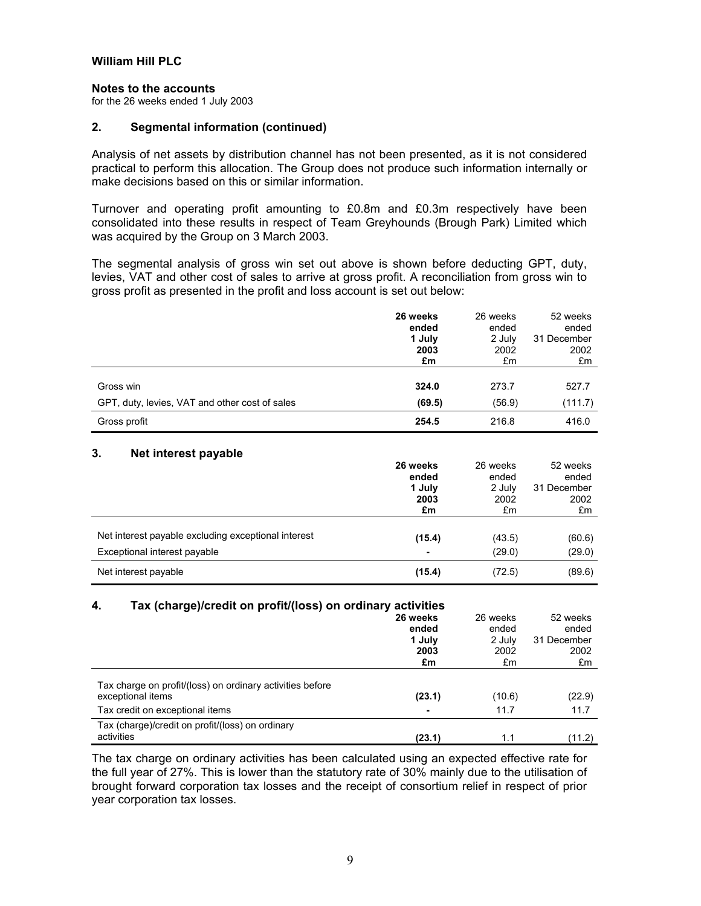#### **Notes to the accounts**

for the 26 weeks ended 1 July 2003

#### **2. Segmental information (continued)**

Analysis of net assets by distribution channel has not been presented, as it is not considered practical to perform this allocation. The Group does not produce such information internally or make decisions based on this or similar information.

Turnover and operating profit amounting to £0.8m and £0.3m respectively have been consolidated into these results in respect of Team Greyhounds (Brough Park) Limited which was acquired by the Group on 3 March 2003.

The segmental analysis of gross win set out above is shown before deducting GPT, duty, levies, VAT and other cost of sales to arrive at gross profit. A reconciliation from gross win to gross profit as presented in the profit and loss account is set out below:

|                                                | 26 weeks | 26 weeks | 52 weeks    |
|------------------------------------------------|----------|----------|-------------|
|                                                | ended    | ended    | ended       |
|                                                | 1 July   | 2 July   | 31 December |
|                                                | 2003     | 2002     | 2002        |
|                                                | £m       | £m       | £m          |
|                                                |          |          |             |
| Gross win                                      | 324.0    | 273.7    | 527.7       |
| GPT, duty, levies, VAT and other cost of sales | (69.5)   | (56.9)   | (111.7)     |
| Gross profit                                   | 254.5    | 216.8    | 416.0       |

#### **3. Net interest payable**

|                                                     | 26 weeks | 26 weeks | 52 weeks    |
|-----------------------------------------------------|----------|----------|-------------|
|                                                     | ended    | ended    | ended       |
|                                                     | 1 July   | 2 July   | 31 December |
|                                                     | 2003     | 2002     | 2002        |
|                                                     | £m       | £m       | £m          |
|                                                     |          |          |             |
| Net interest payable excluding exceptional interest | (15.4)   | (43.5)   | (60.6)      |
| Exceptional interest payable                        |          | (29.0)   | (29.0)      |
| Net interest payable                                | (15.4)   | (72.5)   | (89.6)      |

#### **4. Tax (charge)/credit on profit/(loss) on ordinary activities**

|                                                                                                                   | 26 weeks<br>ended<br>1 July<br>2003<br>£m | 26 weeks<br>ended<br>2 July<br>2002<br>£m | 52 weeks<br>ended<br>31 December<br>2002<br>£m |
|-------------------------------------------------------------------------------------------------------------------|-------------------------------------------|-------------------------------------------|------------------------------------------------|
| Tax charge on profit/(loss) on ordinary activities before<br>exceptional items<br>Tax credit on exceptional items | (23.1)<br>$\blacksquare$                  | (10.6)<br>11.7                            | (22.9)<br>11.7                                 |
| Tax (charge)/credit on profit/(loss) on ordinary<br>activities                                                    | (23.1)                                    | 1.1                                       | (11.2)                                         |

The tax charge on ordinary activities has been calculated using an expected effective rate for the full year of 27%. This is lower than the statutory rate of 30% mainly due to the utilisation of brought forward corporation tax losses and the receipt of consortium relief in respect of prior year corporation tax losses.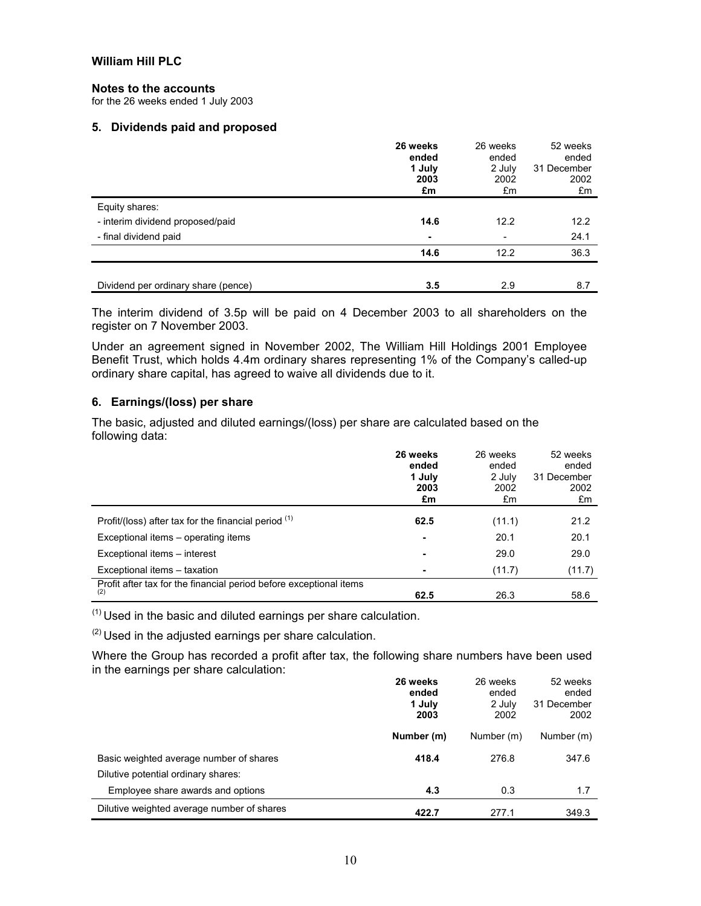#### **Notes to the accounts**

for the 26 weeks ended 1 July 2003

#### **5. Dividends paid and proposed**

|                                     | 26 weeks<br>ended<br>1 July<br>2003<br>£m | 26 weeks<br>ended<br>2 July<br>2002<br>£m | 52 weeks<br>ended<br>31 December<br>2002<br>£m |
|-------------------------------------|-------------------------------------------|-------------------------------------------|------------------------------------------------|
| Equity shares:                      |                                           |                                           |                                                |
| - interim dividend proposed/paid    | 14.6                                      | 12.2                                      | 12.2                                           |
| - final dividend paid               | ۰                                         | -                                         | 24.1                                           |
|                                     | 14.6                                      | 12.2                                      | 36.3                                           |
|                                     |                                           |                                           |                                                |
| Dividend per ordinary share (pence) | 3.5                                       | 2.9                                       | 8.7                                            |

The interim dividend of 3.5p will be paid on 4 December 2003 to all shareholders on the register on 7 November 2003.

Under an agreement signed in November 2002, The William Hill Holdings 2001 Employee Benefit Trust, which holds 4.4m ordinary shares representing 1% of the Company's called-up ordinary share capital, has agreed to waive all dividends due to it.

# **6. Earnings/(loss) per share**

The basic, adjusted and diluted earnings/(loss) per share are calculated based on the following data:

|                                                                           | 26 weeks<br>ended<br>1 July<br>2003<br>£m | 26 weeks<br>ended<br>2 July<br>2002<br>£m | 52 weeks<br>ended<br>31 December<br>2002<br>£m |
|---------------------------------------------------------------------------|-------------------------------------------|-------------------------------------------|------------------------------------------------|
| Profit/(loss) after tax for the financial period $(1)$                    | 62.5                                      | (11.1)                                    | 21.2                                           |
| Exceptional items – operating items                                       |                                           | 20.1                                      | 20.1                                           |
| Exceptional items - interest                                              |                                           | 29.0                                      | 29.0                                           |
| Exceptional items - taxation                                              | $\overline{\phantom{0}}$                  | (11.7)                                    | (11.7)                                         |
| Profit after tax for the financial period before exceptional items<br>(2) | 62.5                                      | 26.3                                      | 58.6                                           |

 $(1)$  Used in the basic and diluted earnings per share calculation.

 $(2)$  Used in the adjusted earnings per share calculation.

Where the Group has recorded a profit after tax, the following share numbers have been used in the earnings per share calculation:

|                                                                                | 26 weeks<br>ended<br>1 July<br>2003 | 26 weeks<br>ended<br>2 July<br>2002 | 52 weeks<br>ended<br>31 December<br>2002 |
|--------------------------------------------------------------------------------|-------------------------------------|-------------------------------------|------------------------------------------|
|                                                                                | Number (m)                          | Number (m)                          | Number (m)                               |
| Basic weighted average number of shares<br>Dilutive potential ordinary shares: | 418.4                               | 276.8                               | 347.6                                    |
| Employee share awards and options                                              | 4.3                                 | 0.3                                 | 1.7                                      |
| Dilutive weighted average number of shares                                     | 422.7                               | 277.1                               | 349.3                                    |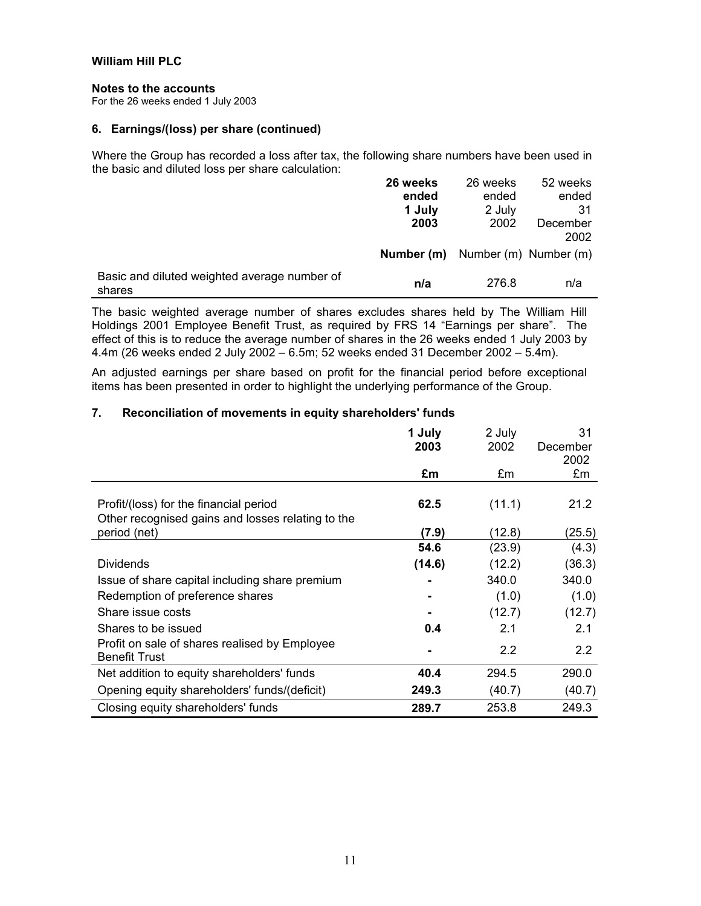#### **Notes to the accounts**

For the 26 weeks ended 1 July 2003

# **6. Earnings/(loss) per share (continued)**

Where the Group has recorded a loss after tax, the following share numbers have been used in the basic and diluted loss per share calculation:

|                                                        | 26 weeks   | 26 weeks              | 52 weeks         |
|--------------------------------------------------------|------------|-----------------------|------------------|
|                                                        | ended      | ended                 | ended            |
|                                                        | 1 July     | 2 July                | 31               |
|                                                        | 2003       | 2002                  | December<br>2002 |
|                                                        | Number (m) | Number (m) Number (m) |                  |
| Basic and diluted weighted average number of<br>shares | n/a        | 276.8                 | n/a              |

The basic weighted average number of shares excludes shares held by The William Hill Holdings 2001 Employee Benefit Trust, as required by FRS 14 "Earnings per share". The effect of this is to reduce the average number of shares in the 26 weeks ended 1 July 2003 by 4.4m (26 weeks ended 2 July 2002 – 6.5m; 52 weeks ended 31 December 2002 – 5.4m).

An adjusted earnings per share based on profit for the financial period before exceptional items has been presented in order to highlight the underlying performance of the Group.

# **7. Reconciliation of movements in equity shareholders' funds**

|                                                                                             | 1 July<br>2003 | 2 July<br>2002 | 31<br>December<br>2002 |
|---------------------------------------------------------------------------------------------|----------------|----------------|------------------------|
|                                                                                             | £m             | £m             | £m                     |
| Profit/(loss) for the financial period<br>Other recognised gains and losses relating to the | 62.5           | (11.1)         | 21.2                   |
| period (net)                                                                                | (7.9)          | (12.8)         | (25.5)                 |
|                                                                                             | 54.6           | (23.9)         | (4.3)                  |
| <b>Dividends</b>                                                                            | (14.6)         | (12.2)         | (36.3)                 |
| Issue of share capital including share premium                                              |                | 340.0          | 340.0                  |
| Redemption of preference shares                                                             |                | (1.0)          | (1.0)                  |
| Share issue costs                                                                           |                | (12.7)         | (12.7)                 |
| Shares to be issued                                                                         | 0.4            | 2.1            | 2.1                    |
| Profit on sale of shares realised by Employee<br><b>Benefit Trust</b>                       |                | 2.2            | 2.2                    |
| Net addition to equity shareholders' funds                                                  | 40.4           | 294.5          | 290.0                  |
| Opening equity shareholders' funds/(deficit)                                                | 249.3          | (40.7)         | (40.7)                 |
| Closing equity shareholders' funds                                                          | 289.7          | 253.8          | 249.3                  |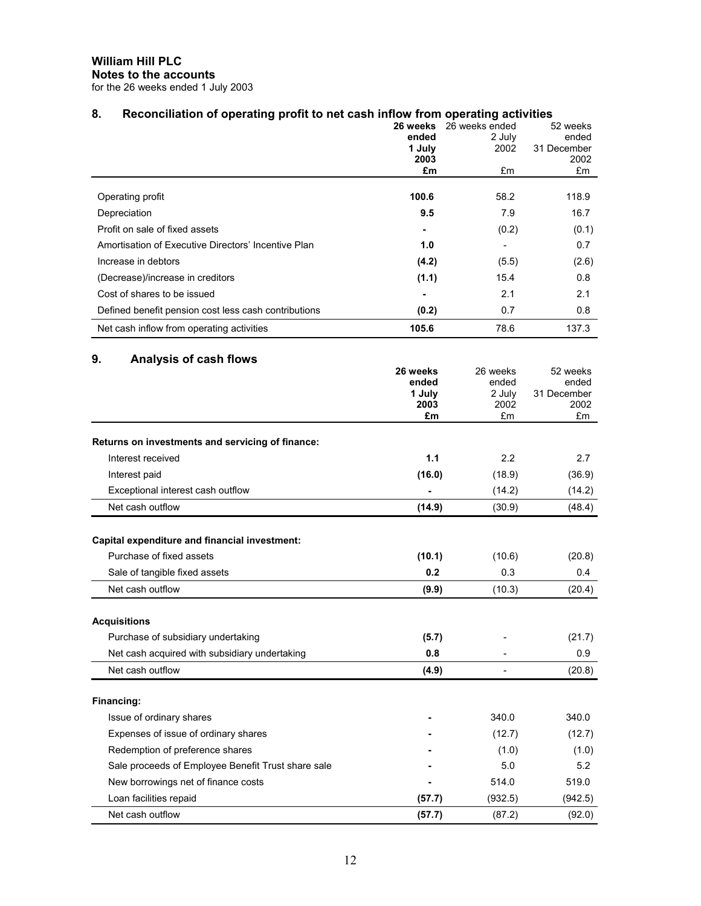**William Hill PLC Notes to the accounts** 

for the 26 weeks ended 1 July 2003

# 8. Reconciliation of operating profit to net cash inflow from operating activities

| . .                                                  | 26 weeks<br>ended<br>1 July<br>2003<br>£m | 26 weeks ended<br>2 July<br>2002<br>£m | 52 weeks<br>ended<br>31 December<br>2002<br>£m |
|------------------------------------------------------|-------------------------------------------|----------------------------------------|------------------------------------------------|
| Operating profit                                     | 100.6                                     | 58.2                                   | 118.9                                          |
| Depreciation                                         | 9.5                                       | 7.9                                    | 16.7                                           |
| Profit on sale of fixed assets                       |                                           | (0.2)                                  | (0.1)                                          |
| Amortisation of Executive Directors' Incentive Plan  | 1.0                                       |                                        | 0.7                                            |
| Increase in debtors                                  | (4.2)                                     | (5.5)                                  | (2.6)                                          |
| (Decrease)/increase in creditors                     | (1.1)                                     | 15.4                                   | 0.8                                            |
| Cost of shares to be issued                          |                                           | 2.1                                    | 2.1                                            |
| Defined benefit pension cost less cash contributions | (0.2)                                     | 0.7                                    | 0.8                                            |
| Net cash inflow from operating activities            | 105.6                                     | 78.6                                   | 137.3                                          |

# **9. Analysis of cash flows**

|                                                    | 26 weeks<br>ended<br>1 July<br>2003<br>£m | 26 weeks<br>ended<br>2 July<br>2002<br>£m | 52 weeks<br>ended<br>31 December<br>2002<br>£m |
|----------------------------------------------------|-------------------------------------------|-------------------------------------------|------------------------------------------------|
| Returns on investments and servicing of finance:   |                                           |                                           |                                                |
| Interest received                                  | 1.1                                       | 2.2                                       | 2.7                                            |
| Interest paid                                      | (16.0)                                    | (18.9)                                    | (36.9)                                         |
| Exceptional interest cash outflow                  |                                           | (14.2)                                    | (14.2)                                         |
| Net cash outflow                                   | (14.9)                                    | (30.9)                                    | (48.4)                                         |
| Capital expenditure and financial investment:      |                                           |                                           |                                                |
| Purchase of fixed assets                           | (10.1)                                    | (10.6)                                    | (20.8)                                         |
| Sale of tangible fixed assets                      | 0.2                                       | 0.3                                       | 0.4                                            |
| Net cash outflow                                   | (9.9)                                     | (10.3)                                    | (20.4)                                         |
| <b>Acquisitions</b>                                |                                           |                                           |                                                |
| Purchase of subsidiary undertaking                 | (5.7)                                     |                                           | (21.7)                                         |
| Net cash acquired with subsidiary undertaking      | 0.8                                       |                                           | 0.9                                            |
| Net cash outflow                                   | (4.9)                                     |                                           | (20.8)                                         |
| Financing:                                         |                                           |                                           |                                                |
| Issue of ordinary shares                           |                                           | 340.0                                     | 340.0                                          |
| Expenses of issue of ordinary shares               |                                           | (12.7)                                    | (12.7)                                         |
| Redemption of preference shares                    |                                           | (1.0)                                     | (1.0)                                          |
| Sale proceeds of Employee Benefit Trust share sale |                                           | 5.0                                       | 5.2                                            |
| New borrowings net of finance costs                |                                           | 514.0                                     | 519.0                                          |
| Loan facilities repaid                             | (57.7)                                    | (932.5)                                   | (942.5)                                        |
| Net cash outflow                                   | (57.7)                                    | (87.2)                                    | (92.0)                                         |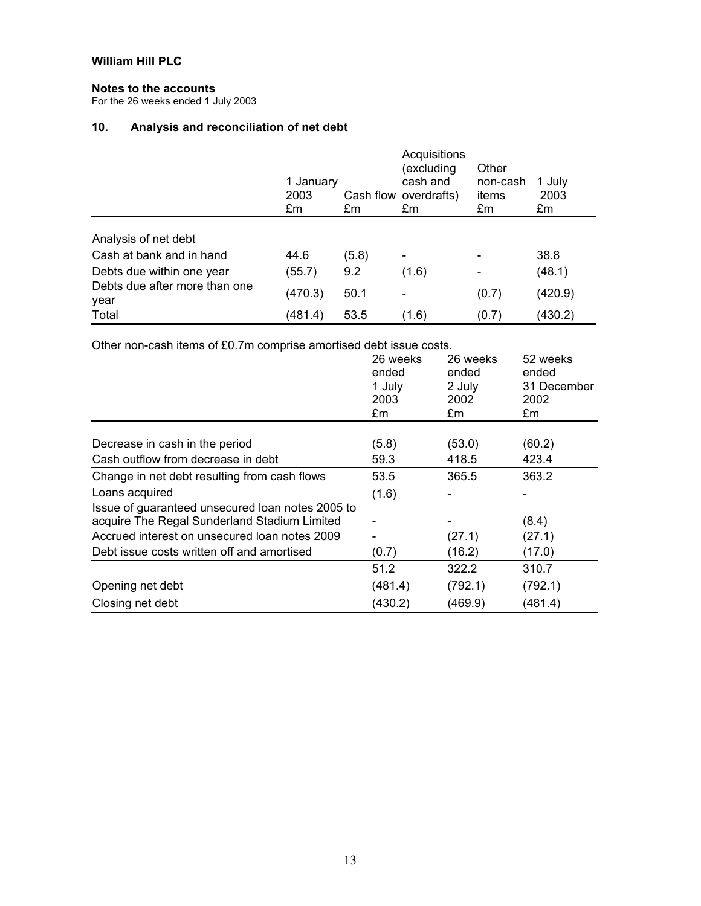# **Notes to the accounts**

For the 26 weeks ended 1 July 2003

# **10. Analysis and reconciliation of net debt**

|                                       | 1 January<br>2003<br>£m | £m    | Acquisitions<br>(excluding<br>cash and<br>Cash flow overdrafts)<br>£m | Other<br>non-cash<br>items<br>£m | 1 July<br>2003<br>£m |
|---------------------------------------|-------------------------|-------|-----------------------------------------------------------------------|----------------------------------|----------------------|
| Analysis of net debt                  |                         |       |                                                                       |                                  |                      |
| Cash at bank and in hand              | 44.6                    | (5.8) | $\blacksquare$                                                        |                                  | 38.8                 |
| Debts due within one year             | (55.7)                  | 9.2   | (1.6)                                                                 |                                  | (48.1)               |
| Debts due after more than one<br>year | (470.3)                 | 50.1  | -                                                                     | (0.7)                            | (420.9)              |
| Total                                 | (481.4)                 | 53.5  | (1.6)                                                                 | (0.7)                            | (430.2)              |

Other non-cash items of £0.7m comprise amortised debt issue costs.

|                                                  | 26 weeks<br>ended | 26 weeks<br>ended | 52 weeks<br>ended   |
|--------------------------------------------------|-------------------|-------------------|---------------------|
|                                                  | 1 July<br>2003    | 2 July<br>2002    | 31 December<br>2002 |
|                                                  | £m                | £m                | £m                  |
|                                                  |                   |                   |                     |
| Decrease in cash in the period                   | (5.8)             | (53.0)            | (60.2)              |
| Cash outflow from decrease in debt               | 59.3              | 418.5             | 423.4               |
| Change in net debt resulting from cash flows     | 53.5              | 365.5             | 363.2               |
| Loans acquired                                   | (1.6)             |                   |                     |
| Issue of guaranteed unsecured loan notes 2005 to |                   |                   |                     |
| acquire The Regal Sunderland Stadium Limited     |                   |                   | (8.4)               |
| Accrued interest on unsecured loan notes 2009    |                   | (27.1)            | (27.1)              |
| Debt issue costs written off and amortised       | (0.7)             | (16.2)            | (17.0)              |
|                                                  | 51.2              | 322.2             | 310.7               |
| Opening net debt                                 | (481.4)           | (792.1)           | (792.1)             |
| Closing net debt                                 | (430.2)           | (469.9)           | (481.4)             |